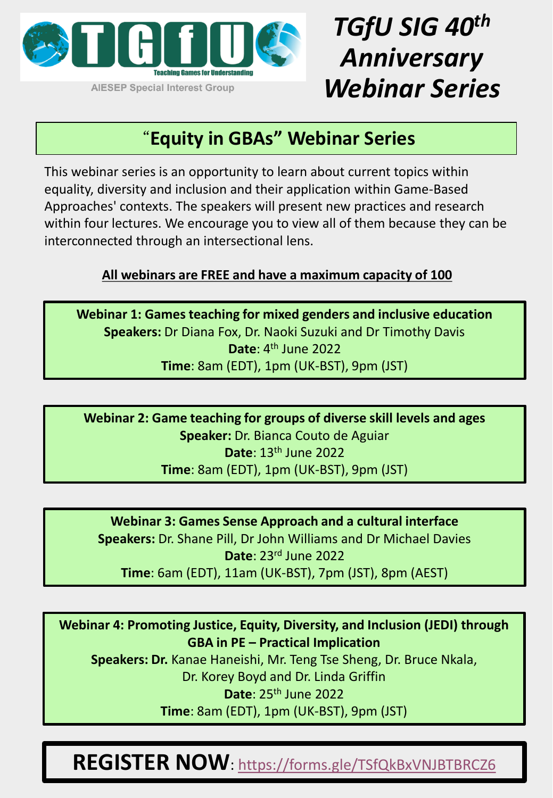

## *TGfU SIG 40th Anniversary Webinar Series*

#### "**Equity in GBAs" Webinar Series**

This webinar series is an opportunity to learn about current topics within equality, diversity and inclusion and their application within Game-Based Approaches' contexts. The speakers will present new practices and research within four lectures. We encourage you to view all of them because they can be interconnected through an intersectional lens.

#### **All webinars are FREE and have a maximum capacity of 100**

**Webinar 1: Games teaching for mixed genders and inclusive education Speakers:** Dr Diana Fox, Dr. Naoki Suzuki and Dr Timothy Davis **Date**: 4th June 2022 **Time**: 8am (EDT), 1pm (UK-BST), 9pm (JST)

**Webinar 2: Game teaching for groups of diverse skill levels and ages Speaker:** Dr. Bianca Couto de Aguiar **Date**: 13th June 2022 **Time**: 8am (EDT), 1pm (UK-BST), 9pm (JST)

**Webinar 3: Games Sense Approach and a cultural interface Speakers:** Dr. Shane Pill, Dr John Williams and Dr Michael Davies **Date**: 23rd June 2022 **Time**: 6am (EDT), 11am (UK-BST), 7pm (JST), 8pm (AEST)

**Webinar 4: Promoting Justice, Equity, Diversity, and Inclusion (JEDI) through GBA in PE – Practical Implication**

**Speakers: Dr.** Kanae Haneishi, Mr. Teng Tse Sheng, Dr. Bruce Nkala, Dr. Korey Boyd and Dr. Linda Griffin **Date**: 25th June 2022 **Time**: 8am (EDT), 1pm (UK-BST), 9pm (JST)

**REGISTER NOW**: <https://forms.gle/TSfQkBxVNJBTBRCZ6>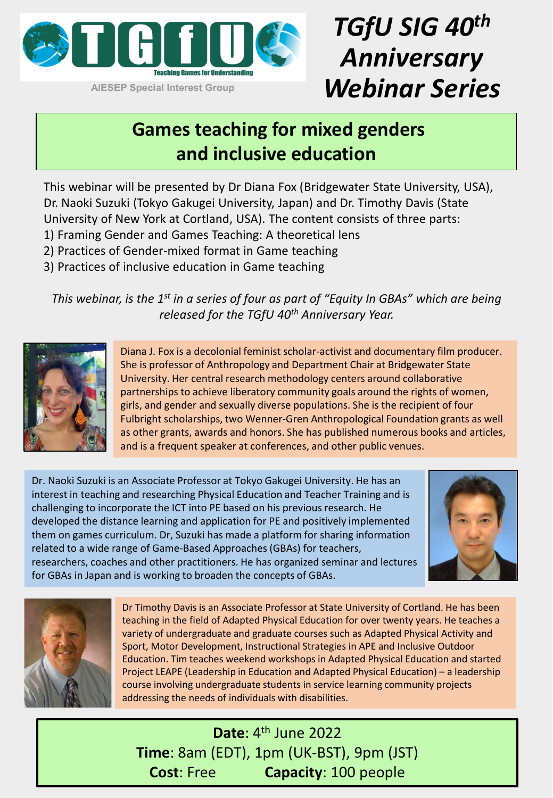

# *TGfU SIG 40th Anniversary Webinar Series*

### **Games teaching for mixed genders and inclusive education**

This webinar will be presented by Dr Diana Fox (Bridgewater State University, USA), Dr. Naoki Suzuki (Tokyo Gakugei University, Japan) and Dr. Timothy Davis (State University of New York at Cortland, USA). The content consists of three parts:

- 1) Framing Gender and Games Teaching: A theoretical lens
- 2) Practices of Gender-mixed format in Game teaching
- 3) Practices of inclusive education in Game teaching

*This webinar, is the 1st in a series of four as part of "Equity In GBAs" which are being released for the TGfU 40th Anniversary Year.* 



Diana J. Fox is a decolonial feminist scholar-activist and documentary film producer. She is professor of Anthropology and Department Chair at Bridgewater State University. Her central research methodology centers around collaborative partnerships to achieve liberatory community goals around the rights of women, girls, and gender and sexually diverse populations. She is the recipient of four Fulbright scholarships, two Wenner-Gren Anthropological Foundation grants as well as other grants, awards and honors. She has published numerous books and articles, and is a frequent speaker at conferences, and other public venues.

Dr. Naoki Suzuki is an Associate Professor at Tokyo Gakugei University. He has an interest in teaching and researching Physical Education and Teacher Training and is challenging to incorporate the ICT into PE based on his previous research. He developed the distance learning and application for PE and positively implemented them on games curriculum. Dr, Suzuki has made a platform for sharing information related to a wide range of Game-Based Approaches (GBAs) for teachers, researchers, coaches and other practitioners. He has organized seminar and lectures for GBAs in Japan and is working to broaden the concepts of GBAs.





Dr Timothy Davis is an Associate Professor at State University of Cortland. He has been teaching in the field of Adapted Physical Education for over twenty years. He teaches a variety of undergraduate and graduate courses such as Adapted Physical Activity and Sport, Motor Development, Instructional Strategies in APE and Inclusive Outdoor Education. Tim teaches weekend workshops in Adapted Physical Education and started Project LEAPE (Leadership in Education and Adapted Physical Education) – a leadership course involving undergraduate students in service learning community projects addressing the needs of individuals with disabilities.

**Date**: 4th June 2022 **Time**: 8am (EDT), 1pm (UK-BST), 9pm (JST) **Cost**: Free **Capacity**: 100 people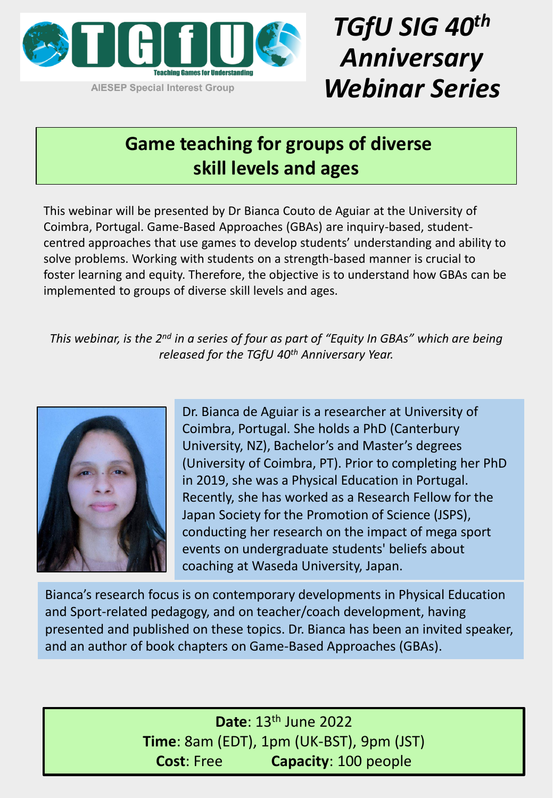

## *TGfU SIG 40th Anniversary Webinar Series*

### **Game teaching for groups of diverse skill levels and ages**

This webinar will be presented by Dr Bianca Couto de Aguiar at the University of Coimbra, Portugal. Game-Based Approaches (GBAs) are inquiry-based, studentcentred approaches that use games to develop students' understanding and ability to solve problems. Working with students on a strength-based manner is crucial to foster learning and equity. Therefore, the objective is to understand how GBAs can be implemented to groups of diverse skill levels and ages.

*This webinar, is the 2nd in a series of four as part of "Equity In GBAs" which are being released for the TGfU 40th Anniversary Year.* 



Dr. Bianca de Aguiar is a researcher at University of Coimbra, Portugal. She holds a PhD (Canterbury University, NZ), Bachelor's and Master's degrees (University of Coimbra, PT). Prior to completing her PhD in 2019, she was a Physical Education in Portugal. Recently, she has worked as a Research Fellow for the Japan Society for the Promotion of Science (JSPS), conducting her research on the impact of mega sport events on undergraduate students' beliefs about coaching at Waseda University, Japan.

Bianca's research focus is on contemporary developments in Physical Education and Sport-related pedagogy, and on teacher/coach development, having presented and published on these topics. Dr. Bianca has been an invited speaker, and an author of book chapters on Game-Based Approaches (GBAs).

> **Date**: 13th June 2022 **Time**: 8am (EDT), 1pm (UK-BST), 9pm (JST) **Cost**: Free **Capacity**: 100 people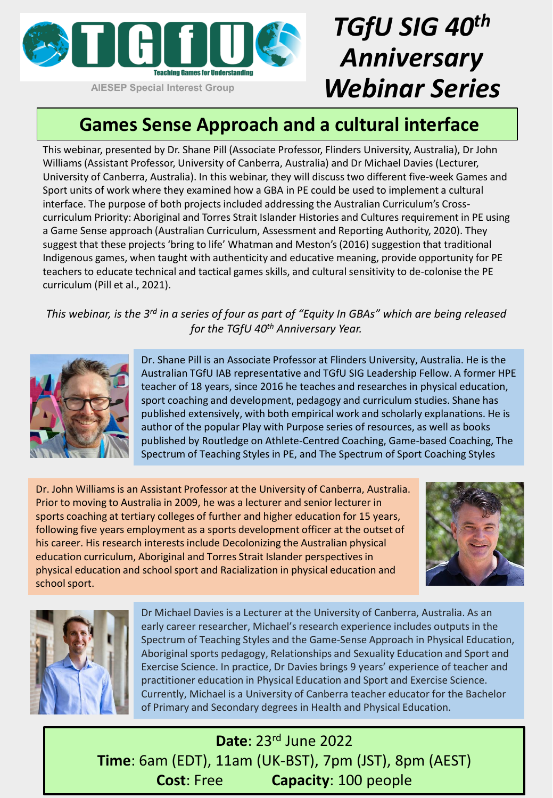

## *TGfU SIG 40th Anniversary Webinar Series*

### **Games Sense Approach and a cultural interface**

This webinar, presented by Dr. Shane Pill (Associate Professor, Flinders University, Australia), Dr John Williams (Assistant Professor, University of Canberra, Australia) and Dr Michael Davies (Lecturer, University of Canberra, Australia). In this webinar, they will discuss two different five-week Games and Sport units of work where they examined how a GBA in PE could be used to implement a cultural interface. The purpose of both projects included addressing the Australian Curriculum's Crosscurriculum Priority: Aboriginal and Torres Strait Islander Histories and Cultures requirement in PE using a Game Sense approach (Australian Curriculum, Assessment and Reporting Authority, 2020). They suggest that these projects 'bring to life' Whatman and Meston's(2016) suggestion that traditional Indigenous games, when taught with authenticity and educative meaning, provide opportunity for PE teachers to educate technical and tactical games skills, and cultural sensitivity to de-colonise the PE curriculum (Pill et al., 2021).

*This webinar, is the 3rd in a series of four as part of "Equity In GBAs" which are being released for the TGfU 40th Anniversary Year.* 



Dr. Shane Pill is an Associate Professor at Flinders University, Australia. He is the Australian TGfU IAB representative and TGfU SIG Leadership Fellow. A former HPE teacher of 18 years, since 2016 he teaches and researches in physical education, sport coaching and development, pedagogy and curriculum studies. Shane has published extensively, with both empirical work and scholarly explanations. He is author of the popular Play with Purpose series of resources, as well as books published by Routledge on Athlete-Centred Coaching, Game-based Coaching, The Spectrum of Teaching Styles in PE, and The Spectrum of Sport Coaching Styles

Dr. John Williams is an Assistant Professor at the University of Canberra, Australia. Prior to moving to Australia in 2009, he was a lecturer and senior lecturer in sports coaching at tertiary colleges of further and higher education for 15 years, following five years employment as a sports development officer at the outset of his career. His research interests include Decolonizing the Australian physical education curriculum, Aboriginal and Torres Strait Islander perspectives in physical education and school sport and Racialization in physical education and school sport.





Dr Michael Davies is a Lecturer at the University of Canberra, Australia. As an early career researcher, Michael's research experience includes outputs in the Spectrum of Teaching Styles and the Game-Sense Approach in Physical Education, Aboriginal sports pedagogy, Relationships and Sexuality Education and Sport and Exercise Science. In practice, Dr Davies brings 9 years' experience of teacher and practitioner education in Physical Education and Sport and Exercise Science. Currently, Michael is a University of Canberra teacher educator for the Bachelor of Primary and Secondary degrees in Health and Physical Education.

**Date**: 23rd June 2022 **Time**: 6am (EDT), 11am (UK-BST), 7pm (JST), 8pm (AEST) **Cost**: Free **Capacity**: 100 people